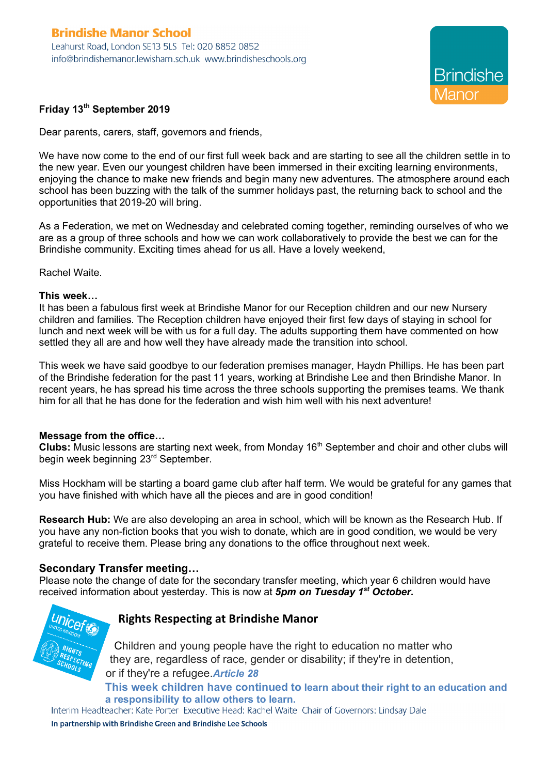

# **Friday 13th September 2019**

Dear parents, carers, staff, governors and friends,

We have now come to the end of our first full week back and are starting to see all the children settle in to the new year. Even our youngest children have been immersed in their exciting learning environments, enjoying the chance to make new friends and begin many new adventures. The atmosphere around each school has been buzzing with the talk of the summer holidays past, the returning back to school and the opportunities that 2019-20 will bring.

As a Federation, we met on Wednesday and celebrated coming together, reminding ourselves of who we are as a group of three schools and how we can work collaboratively to provide the best we can for the Brindishe community. Exciting times ahead for us all. Have a lovely weekend,

Rachel Waite.

#### **This week…**

It has been a fabulous first week at Brindishe Manor for our Reception children and our new Nursery children and families. The Reception children have enjoyed their first few days of staying in school for lunch and next week will be with us for a full day. The adults supporting them have commented on how settled they all are and how well they have already made the transition into school.

This week we have said goodbye to our federation premises manager, Haydn Phillips. He has been part of the Brindishe federation for the past 11 years, working at Brindishe Lee and then Brindishe Manor. In recent years, he has spread his time across the three schools supporting the premises teams. We thank him for all that he has done for the federation and wish him well with his next adventure!

#### **Message from the office…**

**Clubs:** Music lessons are starting next week, from Monday 16<sup>th</sup> September and choir and other clubs will begin week beginning 23<sup>rd</sup> September.

Miss Hockham will be starting a board game club after half term. We would be grateful for any games that you have finished with which have all the pieces and are in good condition!

**Research Hub:** We are also developing an area in school, which will be known as the Research Hub. If you have any non-fiction books that you wish to donate, which are in good condition, we would be very grateful to receive them. Please bring any donations to the office throughout next week.

#### **Secondary Transfer meeting…**

Please note the change of date for the secondary transfer meeting, which year 6 children would have received information about yesterday. This is now at *5pm on Tuesday 1st October.* 



# **Rights Respecting at Brindishe Manor**

Children and young people have the right to education no matter who they are, regardless of race, gender or disability; if they're in detention, or if they're a refugee.*Article 28*

**This week children have continued to learn about their right to an education and a responsibility to allow others to learn.**<br>Interim Headteacher: Kate Porter Executive Head: Rachel Waite Chair of Governors: Lindsay Dale

In partnership with Brindishe Green and Brindishe Lee Schools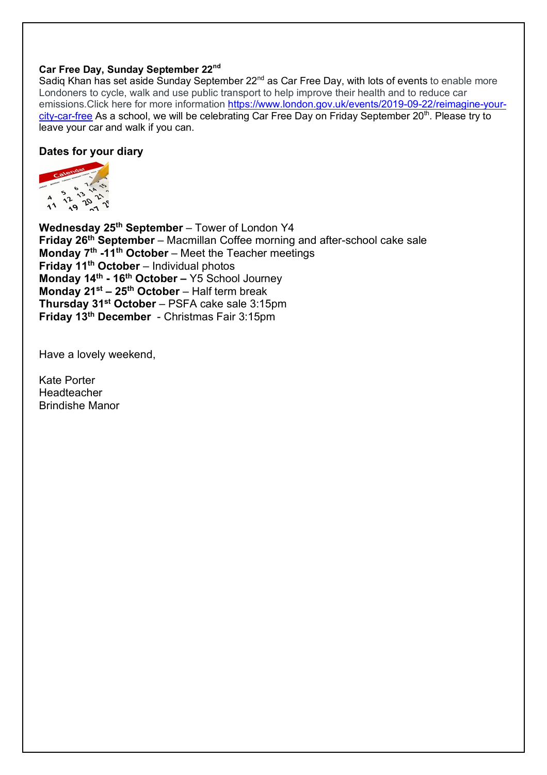# **Car Free Day, Sunday September 22nd**

Sadiq Khan has set aside Sunday September 22<sup>nd</sup> as Car Free Day, with lots of events to enable more Londoners to cycle, walk and use public transport to help improve their health and to reduce car emissions.Click here for more information https://www.london.gov.uk/events/2019-09-22/reimagine-yourcity-car-free As a school, we will be celebrating Car Free Day on Friday September 20<sup>th</sup>. Please try to leave your car and walk if you can.

# **Dates for your diary**



**Wednesday 25th September** – Tower of London Y4 **Friday 26th September** – Macmillan Coffee morning and after-school cake sale **Monday 7th -11th October** – Meet the Teacher meetings **Friday 11th October** – Individual photos **Monday 14th - 16th October –** Y5 School Journey **Monday 21st – 25th October** – Half term break **Thursday 31st October** – PSFA cake sale 3:15pm **Friday 13th December** - Christmas Fair 3:15pm

Have a lovely weekend,

Kate Porter Headteacher Brindishe Manor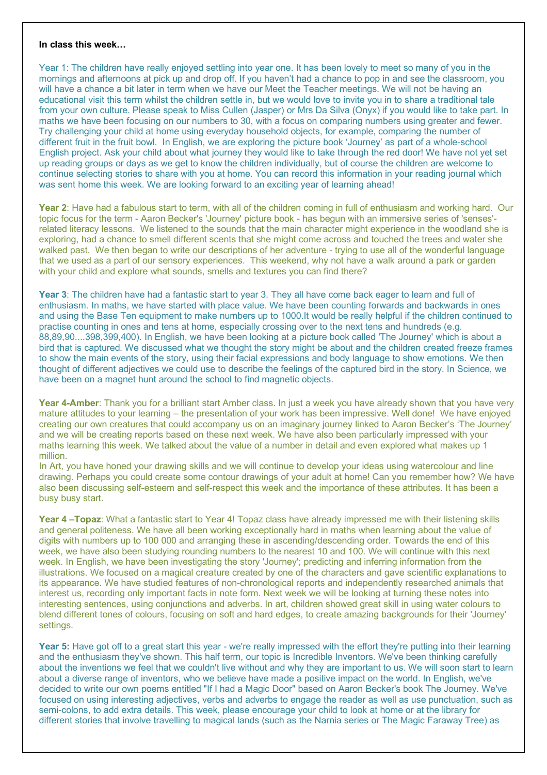#### **In class this week…**

Year 1: The children have really enjoyed settling into year one. It has been lovely to meet so many of you in the mornings and afternoons at pick up and drop off. If you haven't had a chance to pop in and see the classroom, you will have a chance a bit later in term when we have our Meet the Teacher meetings. We will not be having an educational visit this term whilst the children settle in, but we would love to invite you in to share a traditional tale from your own culture. Please speak to Miss Cullen (Jasper) or Mrs Da Silva (Onyx) if you would like to take part. In maths we have been focusing on our numbers to 30, with a focus on comparing numbers using greater and fewer. Try challenging your child at home using everyday household objects, for example, comparing the number of different fruit in the fruit bowl. In English, we are exploring the picture book 'Journey' as part of a whole-school English project. Ask your child about what journey they would like to take through the red door! We have not yet set up reading groups or days as we get to know the children individually, but of course the children are welcome to continue selecting stories to share with you at home. You can record this information in your reading journal which was sent home this week. We are looking forward to an exciting year of learning ahead!

**Year 2**: Have had a fabulous start to term, with all of the children coming in full of enthusiasm and working hard. Our topic focus for the term - Aaron Becker's 'Journey' picture book - has begun with an immersive series of 'senses' related literacy lessons. We listened to the sounds that the main character might experience in the woodland she is exploring, had a chance to smell different scents that she might come across and touched the trees and water she walked past. We then began to write our descriptions of her adventure - trying to use all of the wonderful language that we used as a part of our sensory experiences. This weekend, why not have a walk around a park or garden with your child and explore what sounds, smells and textures you can find there?

**Year 3**: The children have had a fantastic start to year 3. They all have come back eager to learn and full of enthusiasm. In maths, we have started with place value. We have been counting forwards and backwards in ones and using the Base Ten equipment to make numbers up to 1000.It would be really helpful if the children continued to practise counting in ones and tens at home, especially crossing over to the next tens and hundreds (e.g. 88,89,90....398,399,400). In English, we have been looking at a picture book called 'The Journey' which is about a bird that is captured. We discussed what we thought the story might be about and the children created freeze frames to show the main events of the story, using their facial expressions and body language to show emotions. We then thought of different adjectives we could use to describe the feelings of the captured bird in the story. In Science, we have been on a magnet hunt around the school to find magnetic objects.

**Year 4-Amber**: Thank you for a brilliant start Amber class. In just a week you have already shown that you have very mature attitudes to your learning – the presentation of your work has been impressive. Well done! We have enjoyed creating our own creatures that could accompany us on an imaginary journey linked to Aaron Becker's 'The Journey' and we will be creating reports based on these next week. We have also been particularly impressed with your maths learning this week. We talked about the value of a number in detail and even explored what makes up 1 million.

In Art, you have honed your drawing skills and we will continue to develop your ideas using watercolour and line drawing. Perhaps you could create some contour drawings of your adult at home! Can you remember how? We have also been discussing self-esteem and self-respect this week and the importance of these attributes. It has been a busy busy start.

**Year 4 –Topaz**: What a fantastic start to Year 4! Topaz class have already impressed me with their listening skills and general politeness. We have all been working exceptionally hard in maths when learning about the value of digits with numbers up to 100 000 and arranging these in ascending/descending order. Towards the end of this week, we have also been studying rounding numbers to the nearest 10 and 100. We will continue with this next week. In English, we have been investigating the story 'Journey'; predicting and inferring information from the illustrations. We focused on a magical creature created by one of the characters and gave scientific explanations to its appearance. We have studied features of non-chronological reports and independently researched animals that interest us, recording only important facts in note form. Next week we will be looking at turning these notes into interesting sentences, using conjunctions and adverbs. In art, children showed great skill in using water colours to blend different tones of colours, focusing on soft and hard edges, to create amazing backgrounds for their 'Journey' settings.

Year 5: Have got off to a great start this year - we're really impressed with the effort they're putting into their learning and the enthusiasm they've shown. This half term, our topic is Incredible Inventors. We've been thinking carefully about the inventions we feel that we couldn't live without and why they are important to us. We will soon start to learn about a diverse range of inventors, who we believe have made a positive impact on the world. In English, we've decided to write our own poems entitled "If I had a Magic Door" based on Aaron Becker's book The Journey. We've focused on using interesting adjectives, verbs and adverbs to engage the reader as well as use punctuation, such as semi-colons, to add extra details. This week, please encourage your child to look at home or at the library for different stories that involve travelling to magical lands (such as the Narnia series or The Magic Faraway Tree) as